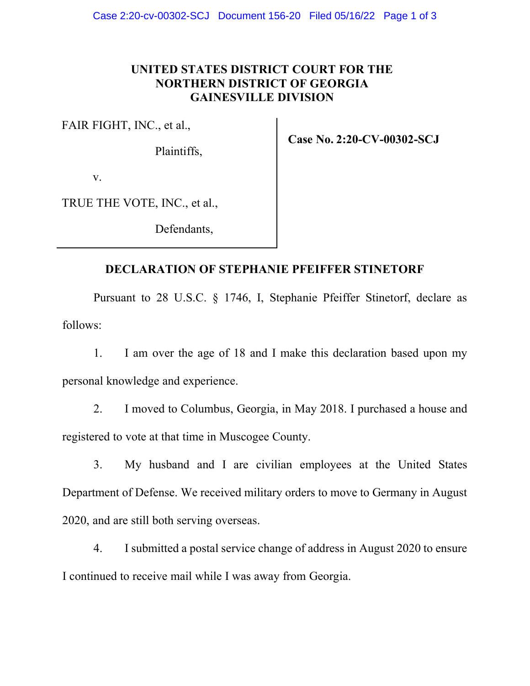## **UNITED STATES DISTRICT COURT FOR THE NORTHERN DISTRICT OF GEORGIA GAINESVILLE DIVISION**

FAIR FIGHT, INC., et al., 

Plaintiffs, 

**Case No. 2:20-CV-00302-SCJ**

v. 

TRUE THE VOTE, INC., et al., 

Defendants, 

## **DECLARATION OF STEPHANIE PFEIFFER STINETORF**

Pursuant to 28 U.S.C. § 1746, I, Stephanie Pfeiffer Stinetorf, declare as follows:

1. I am over the age of 18 and I make this declaration based upon my personal knowledge and experience.

2. I moved to Columbus, Georgia, in May 2018. I purchased a house and registered to vote at that time in Muscogee County.

3. My husband and I are civilian employees at the United States Department of Defense. We received military orders to move to Germany in August 2020, and are still both serving overseas.

4. I submitted a postal service change of address in August 2020 to ensure I continued to receive mail while I was away from Georgia.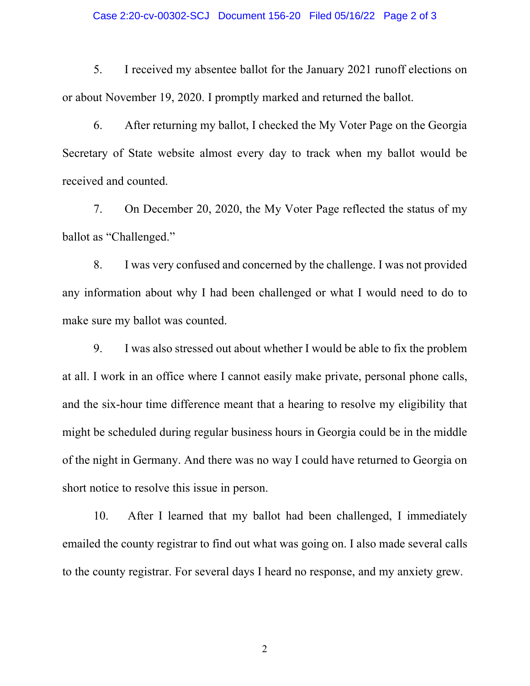## Case 2:20-cv-00302-SCJ Document 156-20 Filed 05/16/22 Page 2 of 3

5. I received my absentee ballot for the January 2021 runoff elections on or about November 19, 2020. I promptly marked and returned the ballot.

6. After returning my ballot, I checked the My Voter Page on the Georgia Secretary of State website almost every day to track when my ballot would be received and counted.

7. On December 20, 2020, the My Voter Page reflected the status of my ballot as "Challenged."

8. I was very confused and concerned by the challenge. I was not provided any information about why I had been challenged or what I would need to do to make sure my ballot was counted.

9. I was also stressed out about whether I would be able to fix the problem at all. I work in an office where I cannot easily make private, personal phone calls, and the six-hour time difference meant that a hearing to resolve my eligibility that might be scheduled during regular business hours in Georgia could be in the middle of the night in Germany. And there was no way I could have returned to Georgia on short notice to resolve this issue in person.

10. After I learned that my ballot had been challenged, I immediately emailed the county registrar to find out what was going on. I also made several calls to the county registrar. For several days I heard no response, and my anxiety grew.

2